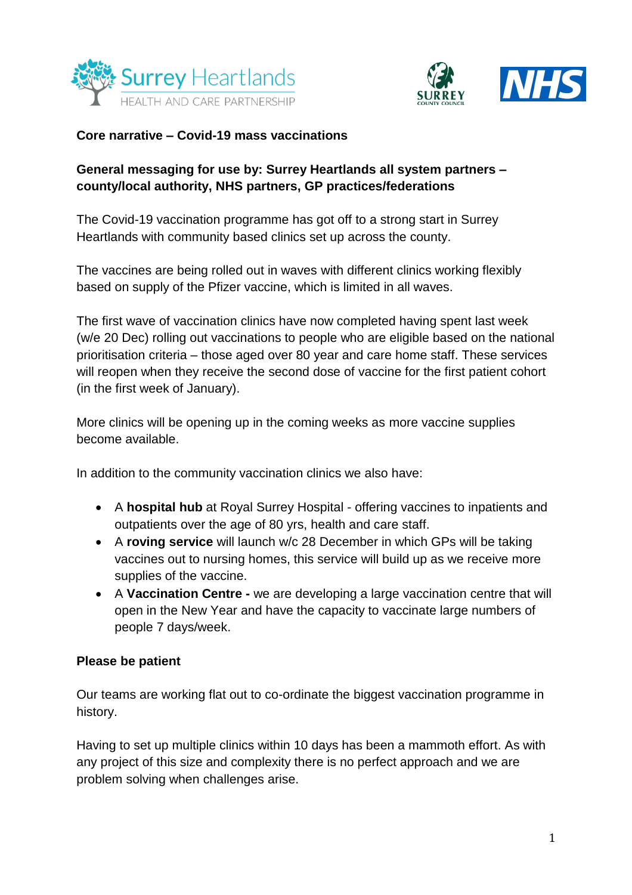



### **Core narrative – Covid-19 mass vaccinations**

## **General messaging for use by: Surrey Heartlands all system partners – county/local authority, NHS partners, GP practices/federations**

The Covid-19 vaccination programme has got off to a strong start in Surrey Heartlands with community based clinics set up across the county.

The vaccines are being rolled out in waves with different clinics working flexibly based on supply of the Pfizer vaccine, which is limited in all waves.

The first wave of vaccination clinics have now completed having spent last week (w/e 20 Dec) rolling out vaccinations to people who are eligible based on the national prioritisation criteria – those aged over 80 year and care home staff. These services will reopen when they receive the second dose of vaccine for the first patient cohort (in the first week of January).

More clinics will be opening up in the coming weeks as more vaccine supplies become available.

In addition to the community vaccination clinics we also have:

- A **hospital hub** at Royal Surrey Hospital offering vaccines to inpatients and outpatients over the age of 80 yrs, health and care staff.
- A **roving service** will launch w/c 28 December in which GPs will be taking vaccines out to nursing homes, this service will build up as we receive more supplies of the vaccine.
- A **Vaccination Centre -** we are developing a large vaccination centre that will open in the New Year and have the capacity to vaccinate large numbers of people 7 days/week.

## **Please be patient**

Our teams are working flat out to co-ordinate the biggest vaccination programme in history.

Having to set up multiple clinics within 10 days has been a mammoth effort. As with any project of this size and complexity there is no perfect approach and we are problem solving when challenges arise.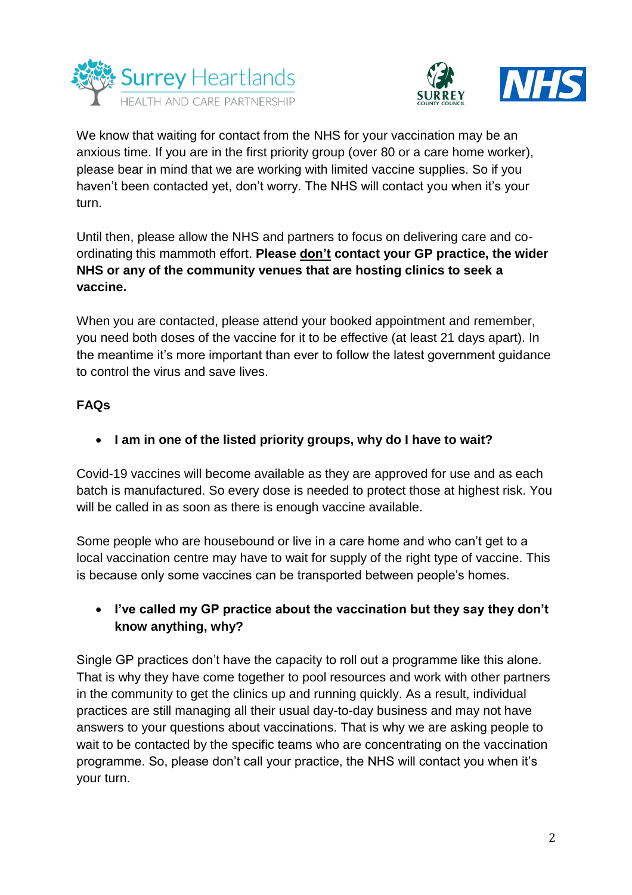



We know that waiting for contact from the NHS for your vaccination may be an anxious time. If you are in the first priority group (over 80 or a care home worker), please bear in mind that we are working with limited vaccine supplies. So if you haven't been contacted yet, don't worry. The NHS will contact you when it's your turn.

Until then, please allow the NHS and partners to focus on delivering care and coordinating this mammoth effort. **Please don't contact your GP practice, the wider NHS or any of the community venues that are hosting clinics to seek a vaccine.**

When you are contacted, please attend your booked appointment and remember, you need both doses of the vaccine for it to be effective (at least 21 days apart). In the meantime it's more important than ever to follow the latest government guidance to control the virus and save lives.

## **FAQs**

**I am in one of the listed priority groups, why do I have to wait?**

Covid-19 vaccines will become available as they are approved for use and as each batch is manufactured. So every dose is needed to protect those at highest risk. You will be called in as soon as there is enough vaccine available.

Some people who are housebound or live in a care home and who can't get to a local vaccination centre may have to wait for supply of the right type of vaccine. This is because only some vaccines can be transported between people's homes.

# **I've called my GP practice about the vaccination but they say they don't know anything, why?**

Single GP practices don't have the capacity to roll out a programme like this alone. That is why they have come together to pool resources and work with other partners in the community to get the clinics up and running quickly. As a result, individual practices are still managing all their usual day-to-day business and may not have answers to your questions about vaccinations. That is why we are asking people to wait to be contacted by the specific teams who are concentrating on the vaccination programme. So, please don't call your practice, the NHS will contact you when it's your turn.